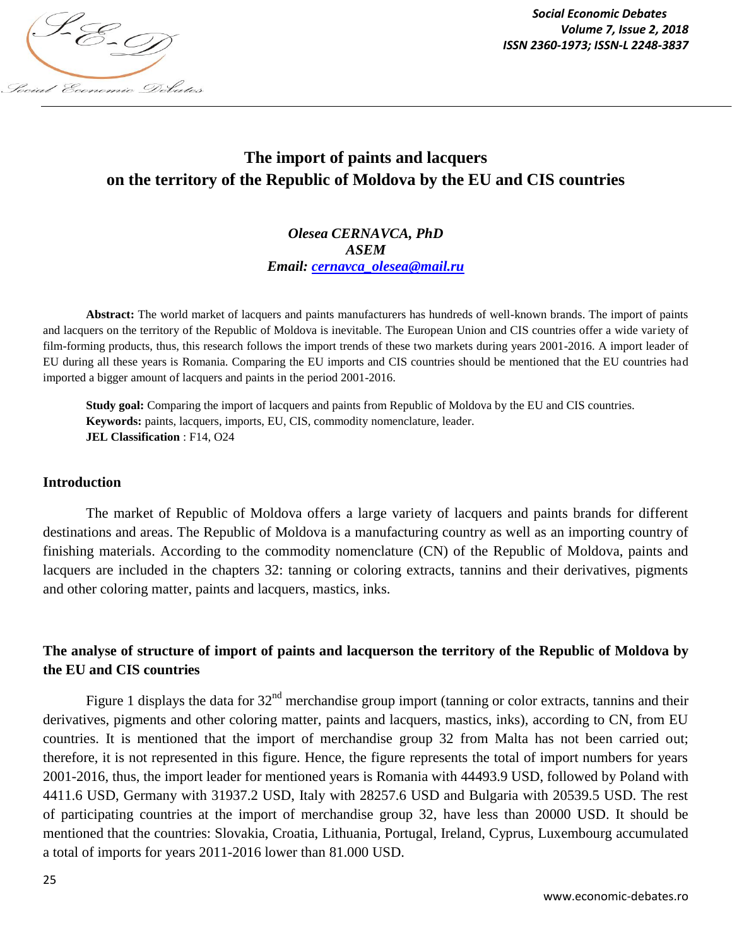

*Social Economic Debates Volume 7, Issue 2, 2018*

# **The import of paints and lacquers on the territory of the Republic of Moldova by the EU and CIS countries**

*Olesea CERNAVCA, PhD ASEM Email: cernavca\_olesea@mail.ru*

**Abstract:** The world market of lacquers and paints manufacturers has hundreds of well-known brands. The import of paints and lacquers on the territory of the Republic of Moldova is inevitable. The European Union and CIS countries offer a wide variety of film-forming products, thus, this research follows the import trends of these two markets during years 2001-2016. A import leader of EU during all these years is Romania. Comparing the EU imports and CIS countries should be mentioned that the EU countries had imported a bigger amount of lacquers and paints in the period 2001-2016.

**Study goal:** Comparing the import of lacquers and paints from Republic of Moldova by the EU and CIS countries. **Keywords:** paints, lacquers, imports, EU, CIS, commodity nomenclature, leader. **JEL Classification** : F14, O24

### **Introduction**

The market of Republic of Moldova offers a large variety of lacquers and paints brands for different destinations and areas. The Republic of Moldova is a manufacturing country as well as an importing country of finishing materials. According to the commodity nomenclature (CN) of the Republic of Moldova, paints and lacquers are included in the chapters 32: tanning or coloring extracts, tannins and their derivatives, pigments and other coloring matter, paints and lacquers, mastics, inks.

## **The analyse of structure of import of paints and lacquerson the territory of the Republic of Moldova by the EU and CIS countries**

Figure 1 displays the data for  $32<sup>nd</sup>$  merchandise group import (tanning or color extracts, tannins and their derivatives, pigments and other coloring matter, paints and lacquers, mastics, inks), according to CN, from EU countries. It is mentioned that the import of merchandise group 32 from Malta has not been carried out; therefore, it is not represented in this figure. Hence, the figure represents the total of import numbers for years 2001-2016, thus, the import leader for mentioned years is Romania with 44493.9 USD, followed by Poland with 4411.6 USD, Germany with 31937.2 USD, Italy with 28257.6 USD and Bulgaria with 20539.5 USD. The rest of participating countries at the import of merchandise group 32, have less than 20000 USD. It should be mentioned that the countries: Slovakia, Croatia, Lithuania, Portugal, Ireland, Cyprus, Luxembourg accumulated a total of imports for years 2011-2016 lower than 81.000 USD.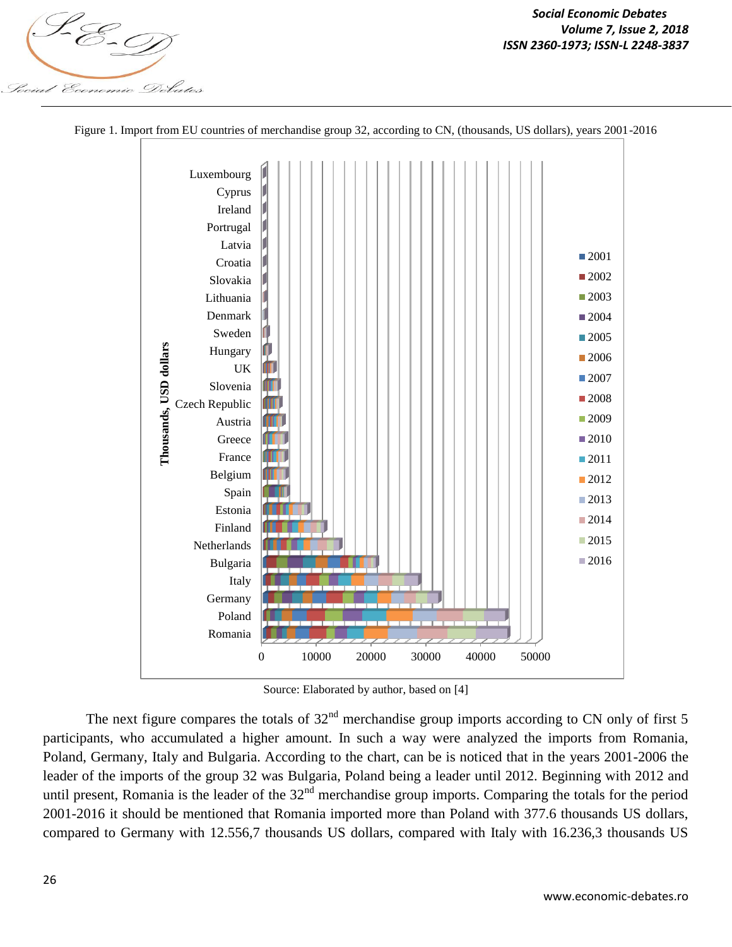



Figure 1. Import from EU countries of merchandise group 32, according to CN, (thousands, US dollars), years 2001-2016

Source: Elaborated by author, based on [4]

The next figure compares the totals of  $32<sup>nd</sup>$  merchandise group imports according to CN only of first 5 participants, who accumulated a higher amount. In such a way were analyzed the imports from Romania, Poland, Germany, Italy and Bulgaria. According to the chart, can be is noticed that in the years 2001-2006 the leader of the imports of the group 32 was Bulgaria, Poland being a leader until 2012. Beginning with 2012 and until present, Romania is the leader of the  $32<sup>nd</sup>$  merchandise group imports. Comparing the totals for the period 2001-2016 it should be mentioned that Romania imported more than Poland with 377.6 thousands US dollars, compared to Germany with 12.556,7 thousands US dollars, compared with Italy with 16.236,3 thousands US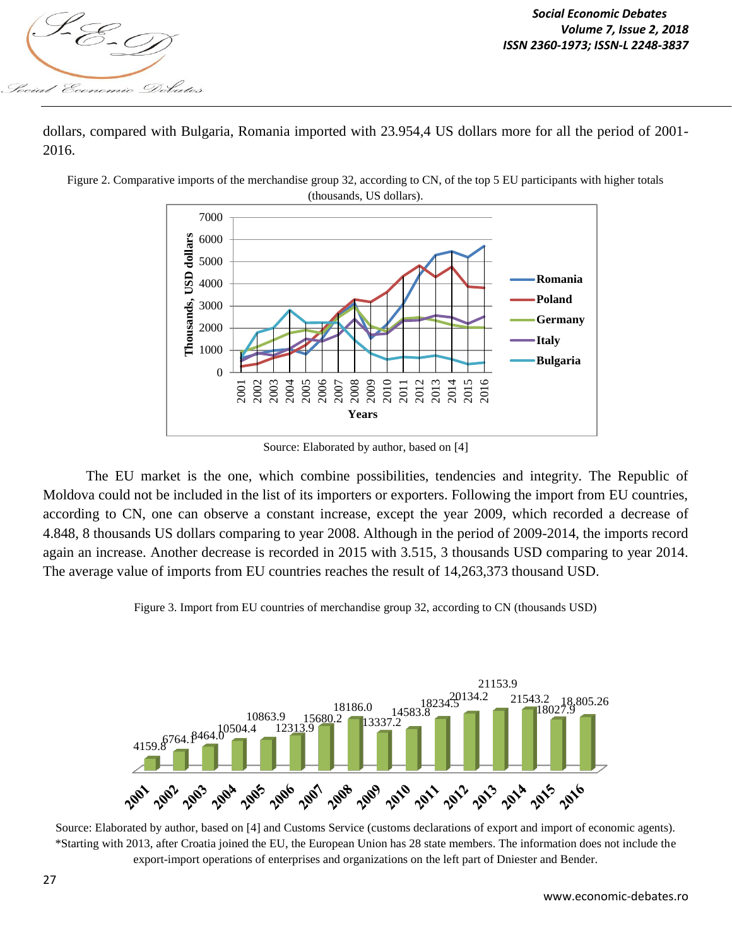

dollars, compared with Bulgaria, Romania imported with 23.954,4 US dollars more for all the period of 2001- 2016.



Figure 2. Comparative imports of the merchandise group 32, according to CN, of the top 5 EU participants with higher totals

The EU market is the one, which combine possibilities, tendencies and integrity. The Republic of Moldova could not be included in the list of its importers or exporters. Following the import from EU countries, according to CN, one can observe a constant increase, except the year 2009, which recorded a decrease of 4.848, 8 thousands US dollars comparing to year 2008. Although in the period of 2009-2014, the imports record again an increase. Another decrease is recorded in 2015 with 3.515, 3 thousands USD comparing to year 2014. The average value of imports from EU countries reaches the result of 14,263,373 thousand USD.

Figure 3. Import from EU countries of merchandise group 32, according to CN (thousands USD)



Source: Elaborated by author, based on [4] and Customs Service (customs declarations of export and import of economic agents). \*Starting with 2013, after Croatia joined the EU, the European Union has 28 state members. The information does not include the export-import operations of enterprises and organizations on the left part of Dniester and Bender.

Source: Elaborated by author, based on [4]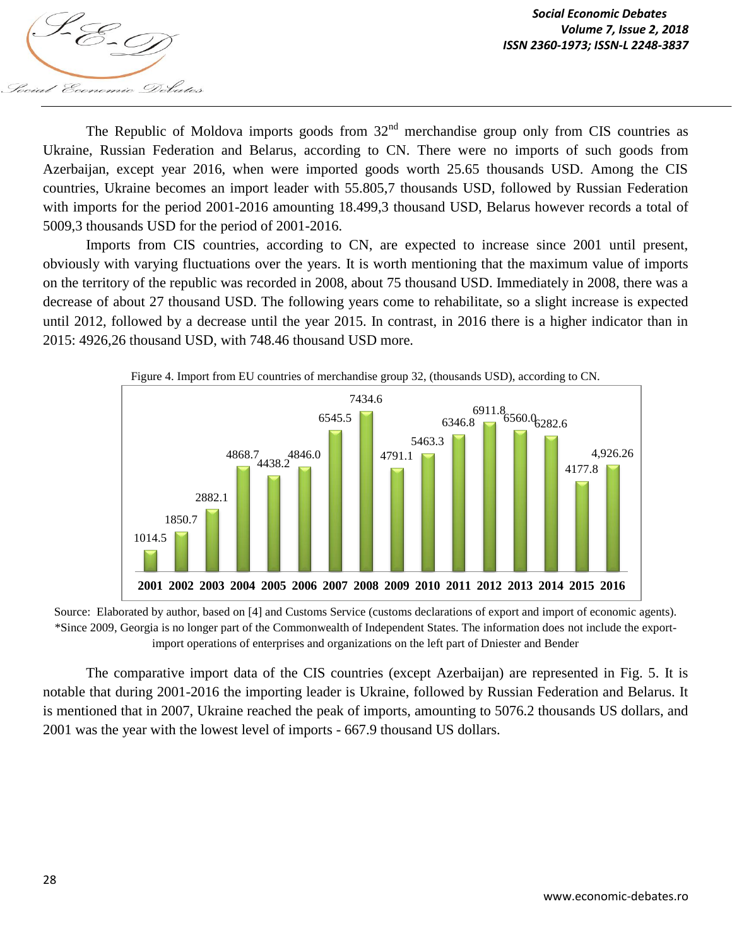

The Republic of Moldova imports goods from  $32<sup>nd</sup>$  merchandise group only from CIS countries as Ukraine, Russian Federation and Belarus, according to CN. There were no imports of such goods from Azerbaijan, except year 2016, when were imported goods worth 25.65 thousands USD. Among the CIS countries, Ukraine becomes an import leader with 55.805,7 thousands USD, followed by Russian Federation with imports for the period 2001-2016 amounting 18.499,3 thousand USD, Belarus however records a total of 5009,3 thousands USD for the period of 2001-2016.

Imports from CIS countries, according to CN, are expected to increase since 2001 until present, obviously with varying fluctuations over the years. It is worth mentioning that the maximum value of imports on the territory of the republic was recorded in 2008, about 75 thousand USD. Immediately in 2008, there was a decrease of about 27 thousand USD. The following years come to rehabilitate, so a slight increase is expected until 2012, followed by a decrease until the year 2015. In contrast, in 2016 there is a higher indicator than in 2015: 4926,26 thousand USD, with 748.46 thousand USD more.



Source: Elaborated by author, based on [4] and Customs Service (customs declarations of export and import of economic agents). \*Since 2009, Georgia is no longer part of the Commonwealth of Independent States. The information does not include the exportimport operations of enterprises and organizations on the left part of Dniester and Bender

The comparative import data of the CIS countries (except Azerbaijan) are represented in Fig. 5. It is notable that during 2001-2016 the importing leader is Ukraine, followed by Russian Federation and Belarus. It is mentioned that in 2007, Ukraine reached the peak of imports, amounting to 5076.2 thousands US dollars, and 2001 was the year with the lowest level of imports - 667.9 thousand US dollars.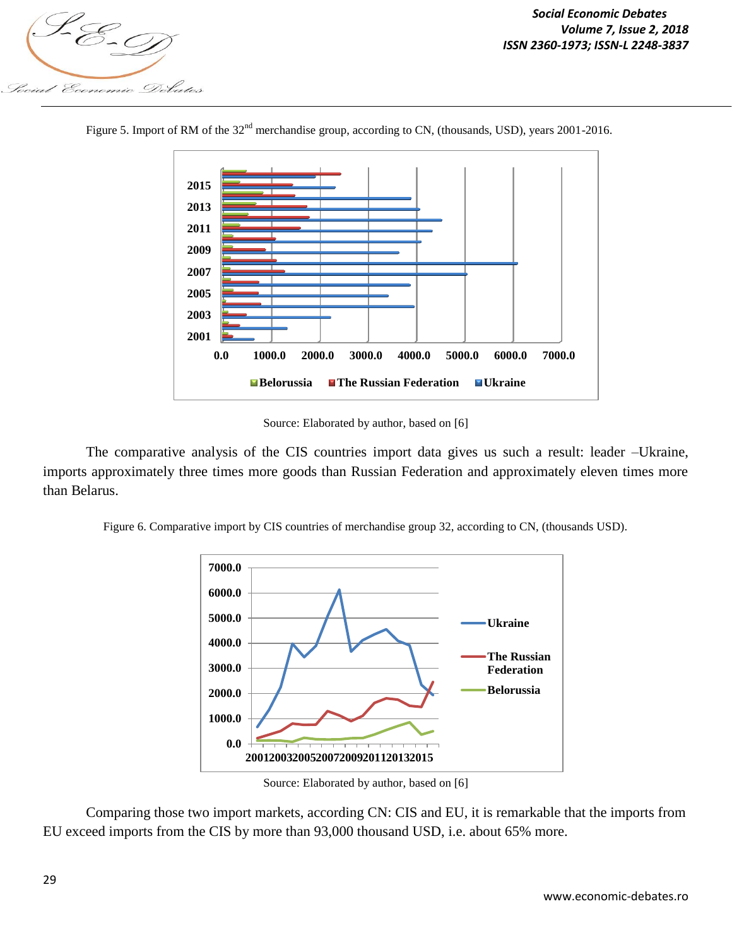



Figure 5. Import of RM of the 32<sup>nd</sup> merchandise group, according to CN, (thousands, USD), years 2001-2016.

Source: Elaborated by author, based on [6]

The comparative analysis of the CIS countries import data gives us such a result: leader –Ukraine, imports approximately three times more goods than Russian Federation and approximately eleven times more than Belarus.

Figure 6. Comparative import by CIS countries of merchandise group 32, according to CN, (thousands USD).



Source: Elaborated by author, based on [6]

Comparing those two import markets, according CN: CIS and EU, it is remarkable that the imports from EU exceed imports from the CIS by more than 93,000 thousand USD, i.e. about 65% more.